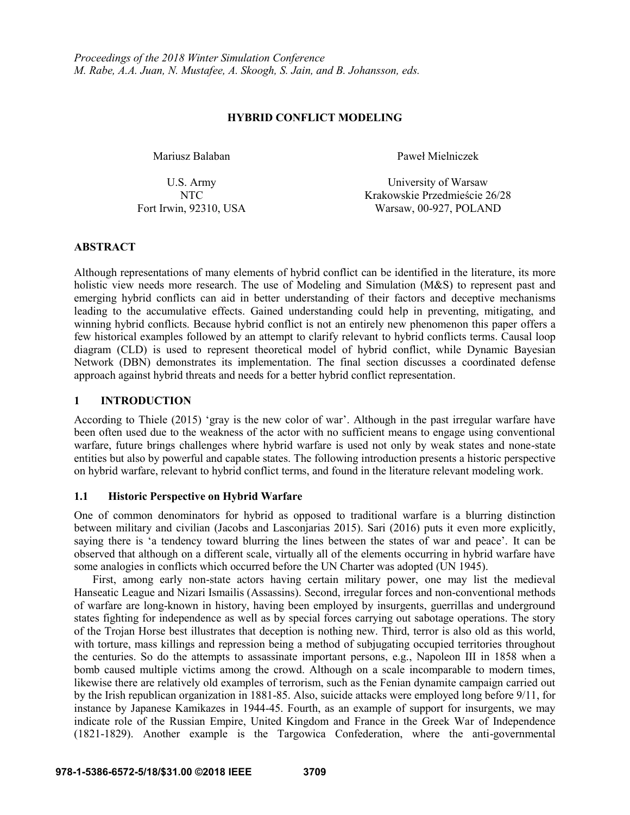### **HYBRID CONFLICT MODELING**

Mariusz Balaban Paweł Mielniczek

U.S. Army University of Warsaw NTC Krakowskie Przedmieście 26/28 Fort Irwin, 92310, USA Warsaw, 00-927, POLAND

## **ABSTRACT**

Although representations of many elements of hybrid conflict can be identified in the literature, its more holistic view needs more research. The use of Modeling and Simulation (M&S) to represent past and emerging hybrid conflicts can aid in better understanding of their factors and deceptive mechanisms leading to the accumulative effects. Gained understanding could help in preventing, mitigating, and winning hybrid conflicts. Because hybrid conflict is not an entirely new phenomenon this paper offers a few historical examples followed by an attempt to clarify relevant to hybrid conflicts terms. Causal loop diagram (CLD) is used to represent theoretical model of hybrid conflict, while Dynamic Bayesian Network (DBN) demonstrates its implementation. The final section discusses a coordinated defense approach against hybrid threats and needs for a better hybrid conflict representation.

## **1 INTRODUCTION**

According to Thiele (2015) 'gray is the new color of war'. Although in the past irregular warfare have been often used due to the weakness of the actor with no sufficient means to engage using conventional warfare, future brings challenges where hybrid warfare is used not only by weak states and none-state entities but also by powerful and capable states. The following introduction presents a historic perspective on hybrid warfare, relevant to hybrid conflict terms, and found in the literature relevant modeling work.

## **1.1 Historic Perspective on Hybrid Warfare**

One of common denominators for hybrid as opposed to traditional warfare is a blurring distinction between military and civilian (Jacobs and Lasconjarias 2015). Sari (2016) puts it even more explicitly, saying there is 'a tendency toward blurring the lines between the states of war and peace'. It can be observed that although on a different scale, virtually all of the elements occurring in hybrid warfare have some analogies in conflicts which occurred before the UN Charter was adopted (UN 1945).

First, among early non-state actors having certain military power, one may list the medieval Hanseatic League and Nizari Ismailis (Assassins). Second, irregular forces and non-conventional methods of warfare are long-known in history, having been employed by insurgents, guerrillas and underground states fighting for independence as well as by special forces carrying out sabotage operations. The story of the Trojan Horse best illustrates that deception is nothing new. Third, terror is also old as this world, with torture, mass killings and repression being a method of subjugating occupied territories throughout the centuries. So do the attempts to assassinate important persons, e.g., Napoleon III in 1858 when a bomb caused multiple victims among the crowd. Although on a scale incomparable to modern times, likewise there are relatively old examples of terrorism, such as the Fenian dynamite campaign carried out by the Irish republican organization in 1881-85. Also, suicide attacks were employed long before 9/11, for instance by Japanese Kamikazes in 1944-45. Fourth, as an example of support for insurgents, we may indicate role of the Russian Empire, United Kingdom and France in the Greek War of Independence (1821-1829). Another example is the Targowica Confederation, where the anti-governmental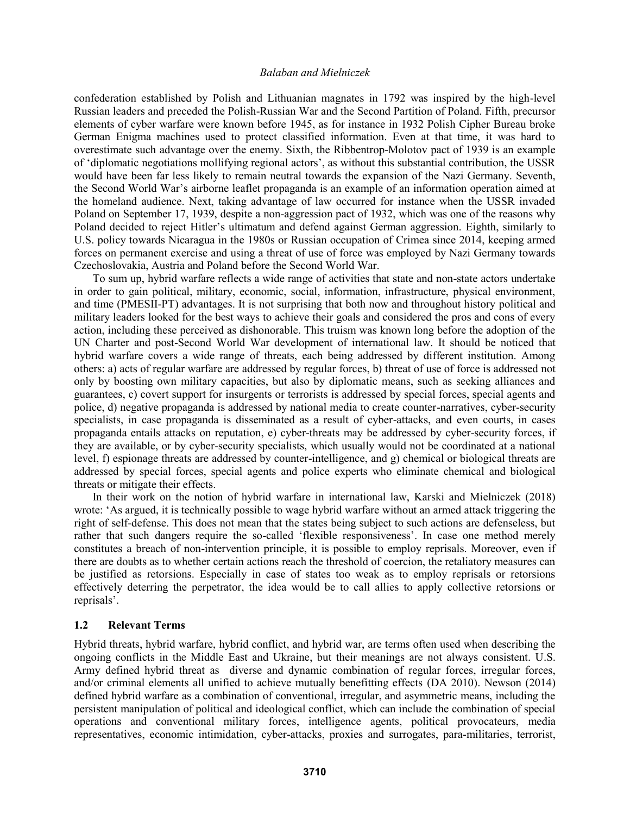confederation established by Polish and Lithuanian magnates in 1792 was inspired by the high-level Russian leaders and preceded the Polish-Russian War and the Second Partition of Poland. Fifth, precursor elements of cyber warfare were known before 1945, as for instance in 1932 Polish Cipher Bureau broke German Enigma machines used to protect classified information. Even at that time, it was hard to overestimate such advantage over the enemy. Sixth, the Ribbentrop-Molotov pact of 1939 is an example of 'diplomatic negotiations mollifying regional actors', as without this substantial contribution, the USSR would have been far less likely to remain neutral towards the expansion of the Nazi Germany. Seventh, the Second World War's airborne leaflet propaganda is an example of an information operation aimed at the homeland audience. Next, taking advantage of law occurred for instance when the USSR invaded Poland on September 17, 1939, despite a non-aggression pact of 1932, which was one of the reasons why Poland decided to reject Hitler's ultimatum and defend against German aggression. Eighth, similarly to U.S. policy towards Nicaragua in the 1980s or Russian occupation of Crimea since 2014, keeping armed forces on permanent exercise and using a threat of use of force was employed by Nazi Germany towards Czechoslovakia, Austria and Poland before the Second World War.

To sum up, hybrid warfare reflects a wide range of activities that state and non-state actors undertake in order to gain political, military, economic, social, information, infrastructure, physical environment, and time (PMESII-PT) advantages. It is not surprising that both now and throughout history political and military leaders looked for the best ways to achieve their goals and considered the pros and cons of every action, including these perceived as dishonorable. This truism was known long before the adoption of the UN Charter and post-Second World War development of international law. It should be noticed that hybrid warfare covers a wide range of threats, each being addressed by different institution. Among others: a) acts of regular warfare are addressed by regular forces, b) threat of use of force is addressed not only by boosting own military capacities, but also by diplomatic means, such as seeking alliances and guarantees, c) covert support for insurgents or terrorists is addressed by special forces, special agents and police, d) negative propaganda is addressed by national media to create counter-narratives, cyber-security specialists, in case propaganda is disseminated as a result of cyber-attacks, and even courts, in cases propaganda entails attacks on reputation, e) cyber-threats may be addressed by cyber-security forces, if they are available, or by cyber-security specialists, which usually would not be coordinated at a national level, f) espionage threats are addressed by counter-intelligence, and g) chemical or biological threats are addressed by special forces, special agents and police experts who eliminate chemical and biological threats or mitigate their effects.

In their work on the notion of hybrid warfare in international law, Karski and Mielniczek (2018) wrote: 'As argued, it is technically possible to wage hybrid warfare without an armed attack triggering the right of self-defense. This does not mean that the states being subject to such actions are defenseless, but rather that such dangers require the so-called 'flexible responsiveness'. In case one method merely constitutes a breach of non-intervention principle, it is possible to employ reprisals. Moreover, even if there are doubts as to whether certain actions reach the threshold of coercion, the retaliatory measures can be justified as retorsions. Especially in case of states too weak as to employ reprisals or retorsions effectively deterring the perpetrator, the idea would be to call allies to apply collective retorsions or reprisals'.

### **1.2 Relevant Terms**

Hybrid threats, hybrid warfare, hybrid conflict, and hybrid war, are terms often used when describing the ongoing conflicts in the Middle East and Ukraine, but their meanings are not always consistent. U.S. Army defined hybrid threat as diverse and dynamic combination of regular forces, irregular forces, and/or criminal elements all unified to achieve mutually benefitting effects (DA 2010). Newson (2014) defined hybrid warfare as a combination of conventional, irregular, and asymmetric means, including the persistent manipulation of political and ideological conflict, which can include the combination of special operations and conventional military forces, intelligence agents, political provocateurs, media representatives, economic intimidation, cyber-attacks, proxies and surrogates, para-militaries, terrorist,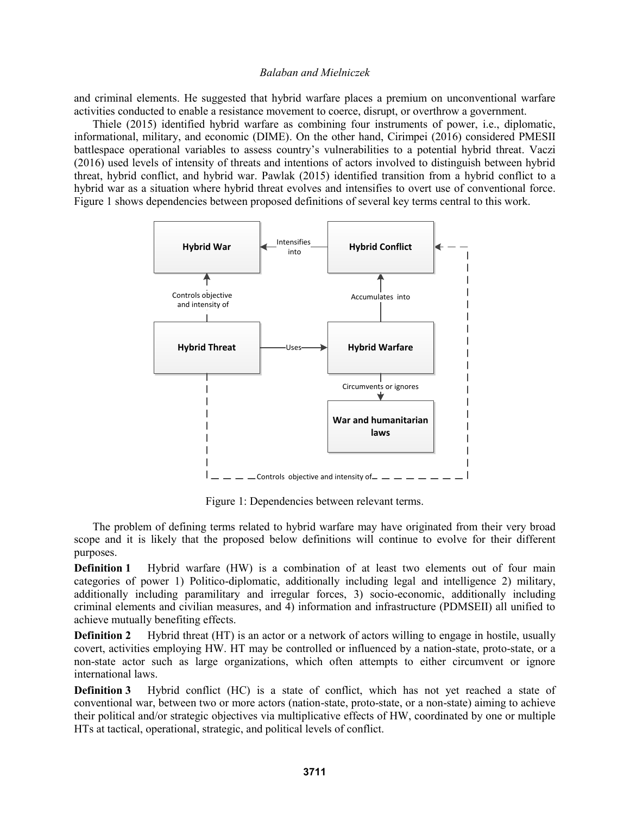and criminal elements. He suggested that hybrid warfare places a premium on unconventional warfare activities conducted to enable a resistance movement to coerce, disrupt, or overthrow a government.

Thiele (2015) identified hybrid warfare as combining four instruments of power, i.e., diplomatic, informational, military, and economic (DIME). On the other hand, Cirimpei (2016) considered PMESII battlespace operational variables to assess country's vulnerabilities to a potential hybrid threat. Vaczi (2016) used levels of intensity of threats and intentions of actors involved to distinguish between hybrid threat, hybrid conflict, and hybrid war. Pawlak (2015) identified transition from a hybrid conflict to a hybrid war as a situation where hybrid threat evolves and intensifies to overt use of conventional force. Figure 1 shows dependencies between proposed definitions of several key terms central to this work.



Figure 1: Dependencies between relevant terms.

The problem of defining terms related to hybrid warfare may have originated from their very broad scope and it is likely that the proposed below definitions will continue to evolve for their different purposes.

**Definition 1** Hybrid warfare (HW) is a combination of at least two elements out of four main categories of power 1) Politico-diplomatic, additionally including legal and intelligence 2) military, additionally including paramilitary and irregular forces, 3) socio-economic, additionally including criminal elements and civilian measures, and 4) information and infrastructure (PDMSEII) all unified to achieve mutually benefiting effects.

**Definition 2** Hybrid threat (HT) is an actor or a network of actors willing to engage in hostile, usually covert, activities employing HW. HT may be controlled or influenced by a nation-state, proto-state, or a non-state actor such as large organizations, which often attempts to either circumvent or ignore international laws.

**Definition 3** Hybrid conflict (HC) is a state of conflict, which has not yet reached a state of conventional war, between two or more actors (nation-state, proto-state, or a non-state) aiming to achieve their political and/or strategic objectives via multiplicative effects of HW, coordinated by one or multiple HTs at tactical, operational, strategic, and political levels of conflict.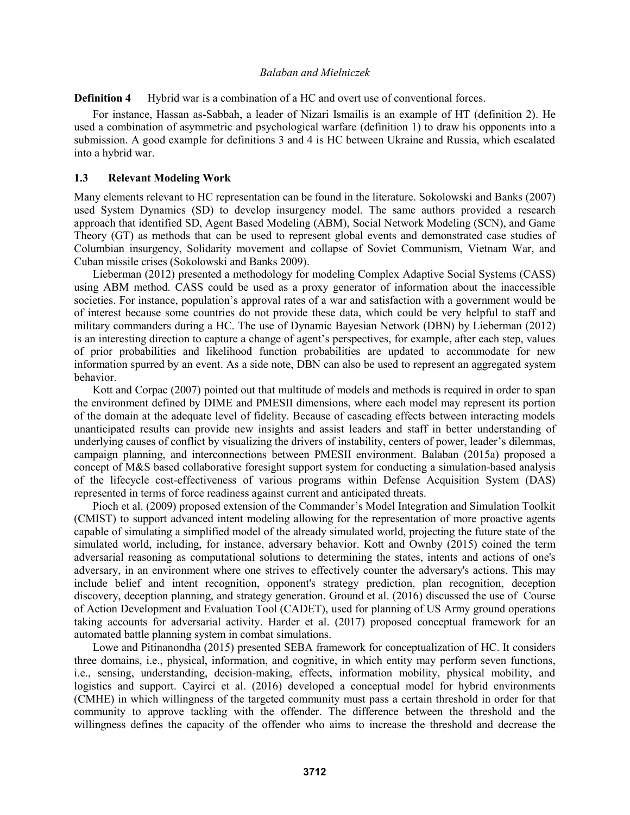**Definition 4** Hybrid war is a combination of a HC and overt use of conventional forces.

For instance, Hassan as-Sabbah, a leader of Nizari Ismailis is an example of HT (definition 2). He used a combination of asymmetric and psychological warfare (definition 1) to draw his opponents into a submission. A good example for definitions 3 and 4 is HC between Ukraine and Russia, which escalated into a hybrid war.

### **1.3 Relevant Modeling Work**

Many elements relevant to HC representation can be found in the literature. Sokolowski and Banks (2007) used System Dynamics (SD) to develop insurgency model. The same authors provided a research approach that identified SD, Agent Based Modeling (ABM), Social Network Modeling (SCN), and Game Theory (GT) as methods that can be used to represent global events and demonstrated case studies of Columbian insurgency, Solidarity movement and collapse of Soviet Communism, Vietnam War, and Cuban missile crises (Sokolowski and Banks 2009).

Lieberman (2012) presented a methodology for modeling Complex Adaptive Social Systems (CASS) using ABM method. CASS could be used as a proxy generator of information about the inaccessible societies. For instance, population's approval rates of a war and satisfaction with a government would be of interest because some countries do not provide these data, which could be very helpful to staff and military commanders during a HC. The use of Dynamic Bayesian Network (DBN) by Lieberman (2012) is an interesting direction to capture a change of agent's perspectives, for example, after each step, values of prior probabilities and likelihood function probabilities are updated to accommodate for new information spurred by an event. As a side note, DBN can also be used to represent an aggregated system behavior.

Kott and Corpac (2007) pointed out that multitude of models and methods is required in order to span the environment defined by DIME and PMESII dimensions, where each model may represent its portion of the domain at the adequate level of fidelity. Because of cascading effects between interacting models unanticipated results can provide new insights and assist leaders and staff in better understanding of underlying causes of conflict by visualizing the drivers of instability, centers of power, leader's dilemmas, campaign planning, and interconnections between PMESII environment. Balaban (2015a) proposed a concept of M&S based collaborative foresight support system for conducting a simulation-based analysis of the lifecycle cost-effectiveness of various programs within Defense Acquisition System (DAS) represented in terms of force readiness against current and anticipated threats.

Pioch et al. (2009) proposed extension of the Commander's Model Integration and Simulation Toolkit (CMIST) to support advanced intent modeling allowing for the representation of more proactive agents capable of simulating a simplified model of the already simulated world, projecting the future state of the simulated world, including, for instance, adversary behavior. Kott and Ownby (2015) coined the term adversarial reasoning as computational solutions to determining the states, intents and actions of one's adversary, in an environment where one strives to effectively counter the adversary's actions. This may include belief and intent recognition, opponent's strategy prediction, plan recognition, deception discovery, deception planning, and strategy generation. Ground et al. (2016) discussed the use of Course of Action Development and Evaluation Tool (CADET), used for planning of US Army ground operations taking accounts for adversarial activity. Harder et al. (2017) proposed conceptual framework for an automated battle planning system in combat simulations.

Lowe and Pitinanondha (2015) presented SEBA framework for conceptualization of HC. It considers three domains, i.e., physical, information, and cognitive, in which entity may perform seven functions, i.e., sensing, understanding, decision-making, effects, information mobility, physical mobility, and logistics and support. Cayirci et al. (2016) developed a conceptual model for hybrid environments (CMHE) in which willingness of the targeted community must pass a certain threshold in order for that community to approve tackling with the offender. The difference between the threshold and the willingness defines the capacity of the offender who aims to increase the threshold and decrease the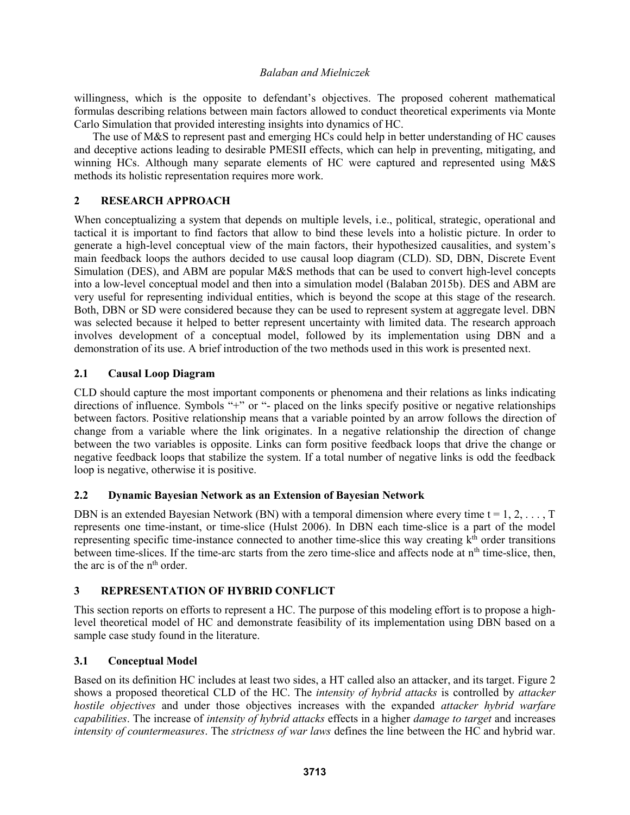willingness, which is the opposite to defendant's objectives. The proposed coherent mathematical formulas describing relations between main factors allowed to conduct theoretical experiments via Monte Carlo Simulation that provided interesting insights into dynamics of HC.

The use of M&S to represent past and emerging HCs could help in better understanding of HC causes and deceptive actions leading to desirable PMESII effects, which can help in preventing, mitigating, and winning HCs. Although many separate elements of HC were captured and represented using M&S methods its holistic representation requires more work.

# **2 RESEARCH APPROACH**

When conceptualizing a system that depends on multiple levels, *i.e.*, political, strategic, operational and tactical it is important to find factors that allow to bind these levels into a holistic picture. In order to generate a high-level conceptual view of the main factors, their hypothesized causalities, and system's main feedback loops the authors decided to use causal loop diagram (CLD). SD, DBN, Discrete Event Simulation (DES), and ABM are popular M&S methods that can be used to convert high-level concepts into a low-level conceptual model and then into a simulation model (Balaban 2015b). DES and ABM are very useful for representing individual entities, which is beyond the scope at this stage of the research. Both, DBN or SD were considered because they can be used to represent system at aggregate level. DBN was selected because it helped to better represent uncertainty with limited data. The research approach involves development of a conceptual model, followed by its implementation using DBN and a demonstration of its use. A brief introduction of the two methods used in this work is presented next.

# **2.1 Causal Loop Diagram**

CLD should capture the most important components or phenomena and their relations as links indicating directions of influence. Symbols "+" or "- placed on the links specify positive or negative relationships between factors. Positive relationship means that a variable pointed by an arrow follows the direction of change from a variable where the link originates. In a negative relationship the direction of change between the two variables is opposite. Links can form positive feedback loops that drive the change or negative feedback loops that stabilize the system. If a total number of negative links is odd the feedback loop is negative, otherwise it is positive.

## **2.2 Dynamic Bayesian Network as an Extension of Bayesian Network**

DBN is an extended Bayesian Network (BN) with a temporal dimension where every time  $t = 1, 2, \ldots, T$ represents one time-instant, or time-slice (Hulst 2006). In DBN each time-slice is a part of the model representing specific time-instance connected to another time-slice this way creating  $k<sup>th</sup>$  order transitions between time-slices. If the time-arc starts from the zero time-slice and affects node at  $n<sup>th</sup>$  time-slice, then, the arc is of the n<sup>th</sup> order.

# **3 REPRESENTATION OF HYBRID CONFLICT**

This section reports on efforts to represent a HC. The purpose of this modeling effort is to propose a highlevel theoretical model of HC and demonstrate feasibility of its implementation using DBN based on a sample case study found in the literature.

## **3.1 Conceptual Model**

Based on its definition HC includes at least two sides, a HT called also an attacker, and its target. Figure 2 shows a proposed theoretical CLD of the HC. The *intensity of hybrid attacks* is controlled by *attacker hostile objectives* and under those objectives increases with the expanded *attacker hybrid warfare capabilities*. The increase of *intensity of hybrid attacks* effects in a higher *damage to target* and increases *intensity of countermeasures*. The *strictness of war laws* defines the line between the HC and hybrid war.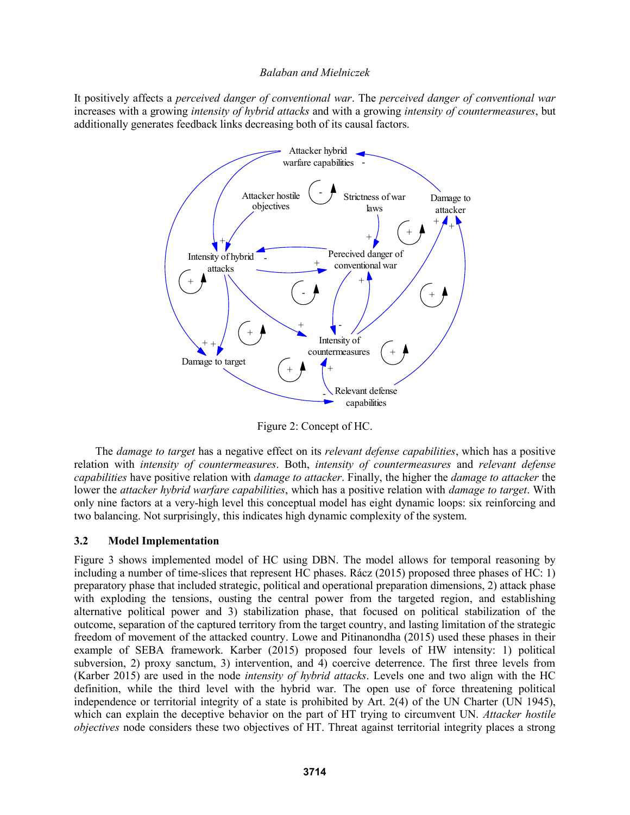It positively affects a *perceived danger of conventional war*. The *perceived danger of conventional war* increases with a growing *intensity of hybrid attacks* and with a growing *intensity of countermeasures*, but additionally generates feedback links decreasing both of its causal factors.



Figure 2: Concept of HC.

The *damage to target* has a negative effect on its *relevant defense capabilities*, which has a positive relation with *intensity of countermeasures*. Both, *intensity of countermeasures* and *relevant defense capabilities* have positive relation with *damage to attacker*. Finally, the higher the *damage to attacker* the lower the *attacker hybrid warfare capabilities*, which has a positive relation with *damage to target*. With only nine factors at a very-high level this conceptual model has eight dynamic loops: six reinforcing and two balancing. Not surprisingly, this indicates high dynamic complexity of the system.

## **3.2 Model Implementation**

Figure 3 shows implemented model of HC using DBN. The model allows for temporal reasoning by including a number of time-slices that represent HC phases. Rácz (2015) proposed three phases of HC: 1) preparatory phase that included strategic, political and operational preparation dimensions, 2) attack phase with exploding the tensions, ousting the central power from the targeted region, and establishing alternative political power and 3) stabilization phase, that focused on political stabilization of the outcome, separation of the captured territory from the target country, and lasting limitation of the strategic freedom of movement of the attacked country. Lowe and Pitinanondha (2015) used these phases in their example of SEBA framework. Karber (2015) proposed four levels of HW intensity: 1) political subversion, 2) proxy sanctum, 3) intervention, and 4) coercive deterrence. The first three levels from (Karber 2015) are used in the node *intensity of hybrid attacks*. Levels one and two align with the HC definition, while the third level with the hybrid war. The open use of force threatening political independence or territorial integrity of a state is prohibited by Art. 2(4) of the UN Charter (UN 1945), which can explain the deceptive behavior on the part of HT trying to circumvent UN. *Attacker hostile objectives* node considers these two objectives of HT. Threat against territorial integrity places a strong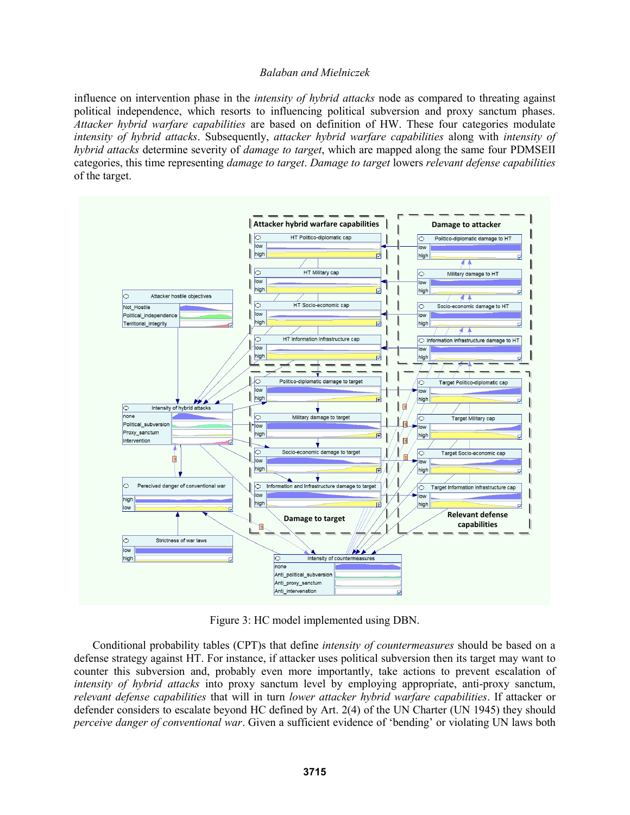influence on intervention phase in the *intensity of hybrid attacks* node as compared to threating against political independence, which resorts to influencing political subversion and proxy sanctum phases. *Attacker hybrid warfare capabilities* are based on definition of HW. These four categories modulate *intensity of hybrid attacks*. Subsequently, *attacker hybrid warfare capabilities* along with *intensity of hybrid attacks* determine severity of *damage to target*, which are mapped along the same four PDMSEII categories, this time representing *damage to target*. *Damage to target* lowers *relevant defense capabilities* of the target.



Figure 3: HC model implemented using DBN.

Conditional probability tables (CPT)s that define *intensity of countermeasures* should be based on a defense strategy against HT. For instance, if attacker uses political subversion then its target may want to counter this subversion and, probably even more importantly, take actions to prevent escalation of *intensity of hybrid attacks* into proxy sanctum level by employing appropriate, anti-proxy sanctum, *relevant defense capabilities* that will in turn *lower attacker hybrid warfare capabilities*. If attacker or defender considers to escalate beyond HC defined by Art. 2(4) of the UN Charter (UN 1945) they should *perceive danger of conventional war*. Given a sufficient evidence of 'bending' or violating UN laws both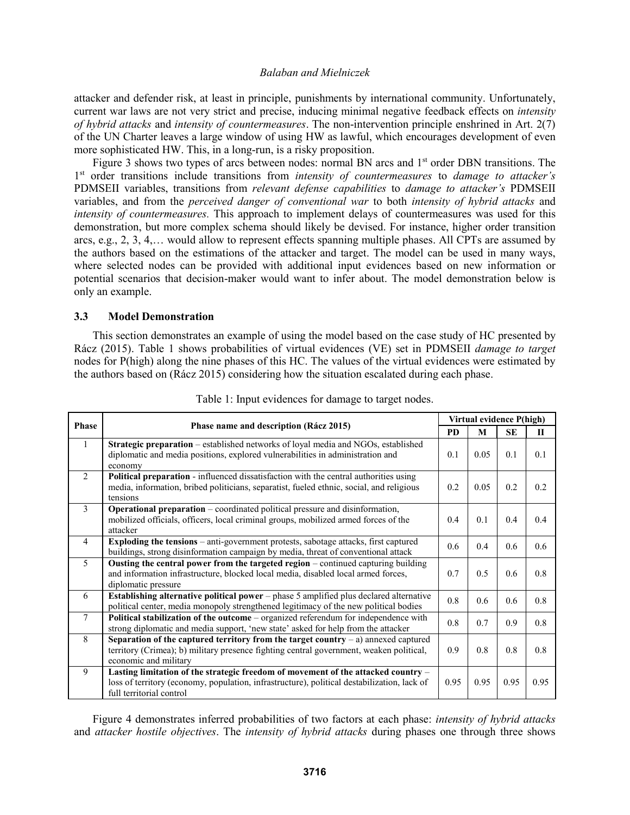attacker and defender risk, at least in principle, punishments by international community. Unfortunately, current war laws are not very strict and precise, inducing minimal negative feedback effects on *intensity of hybrid attacks* and *intensity of countermeasures*. The non-intervention principle enshrined in Art. 2(7) of the UN Charter leaves a large window of using HW as lawful, which encourages development of even more sophisticated HW. This, in a long-run, is a risky proposition.

Figure 3 shows two types of arcs between nodes: normal BN arcs and 1<sup>st</sup> order DBN transitions. The 1 st order transitions include transitions from *intensity of countermeasures* to *damage to attacker's* PDMSEII variables, transitions from *relevant defense capabilities* to *damage to attacker's* PDMSEII variables, and from the *perceived danger of conventional war* to both *intensity of hybrid attacks* and *intensity of countermeasures.* This approach to implement delays of countermeasures was used for this demonstration, but more complex schema should likely be devised. For instance, higher order transition arcs, e.g., 2, 3, 4,… would allow to represent effects spanning multiple phases. All CPTs are assumed by the authors based on the estimations of the attacker and target. The model can be used in many ways, where selected nodes can be provided with additional input evidences based on new information or potential scenarios that decision-maker would want to infer about. The model demonstration below is only an example.

### **3.3 Model Demonstration**

This section demonstrates an example of using the model based on the case study of HC presented by Rácz (2015). Table 1 shows probabilities of virtual evidences (VE) set in PDMSEII *damage to target* nodes for P(high) along the nine phases of this HC. The values of the virtual evidences were estimated by the authors based on (Rácz 2015) considering how the situation escalated during each phase.

| <b>Phase</b>    | Phase name and description (Rácz 2015)                                                                                                                                                                       | Virtual evidence P(high) |      |           |              |
|-----------------|--------------------------------------------------------------------------------------------------------------------------------------------------------------------------------------------------------------|--------------------------|------|-----------|--------------|
|                 |                                                                                                                                                                                                              | <b>PD</b>                | M    | <b>SE</b> | $\mathbf{H}$ |
| 1               | Strategic preparation – established networks of loyal media and NGOs, established<br>diplomatic and media positions, explored vulnerabilities in administration and<br>economy                               | 0.1                      | 0.05 | 0.1       | 0.1          |
| 2               | Political preparation - influenced dissatisfaction with the central authorities using<br>media, information, bribed politicians, separatist, fueled ethnic, social, and religious<br>tensions                | 0.2                      | 0.05 | 0.2       | 0.2          |
| 3               | <b>Operational preparation</b> – coordinated political pressure and disinformation,<br>mobilized officials, officers, local criminal groups, mobilized armed forces of the<br>attacker                       | 0.4                      | 0.1  | 0.4       | 0.4          |
| $\overline{4}$  | <b>Exploding the tensions</b> – anti-government protests, sabotage attacks, first captured<br>buildings, strong disinformation campaign by media, threat of conventional attack                              | 0.6                      | 0.4  | 0.6       | 0.6          |
| 5               | <b>Ousting the central power from the targeted region</b> – continued capturing building<br>and information infrastructure, blocked local media, disabled local armed forces,<br>diplomatic pressure         | 0.7                      | 0.5  | 0.6       | 0.8          |
| 6               | Establishing alternative political power - phase 5 amplified plus declared alternative<br>political center, media monopoly strengthened legitimacy of the new political bodies                               | 0.8                      | 0.6  | 0.6       | 0.8          |
| $7\phantom{.0}$ | Political stabilization of the outcome – organized referendum for independence with<br>strong diplomatic and media support, 'new state' asked for help from the attacker                                     | 0.8                      | 0.7  | 0.9       | 0.8          |
| 8               | Separation of the captured territory from the target country $-$ a) annexed captured<br>territory (Crimea); b) military presence fighting central government, weaken political,<br>economic and military     | 0.9                      | 0.8  | 0.8       | 0.8          |
| 9               | Lasting limitation of the strategic freedom of movement of the attacked country -<br>loss of territory (economy, population, infrastructure), political destabilization, lack of<br>full territorial control | 0.95                     | 0.95 | 0.95      | 0.95         |

Table 1: Input evidences for damage to target nodes.

Figure 4 demonstrates inferred probabilities of two factors at each phase: *intensity of hybrid attacks* and *attacker hostile objectives*. The *intensity of hybrid attacks* during phases one through three shows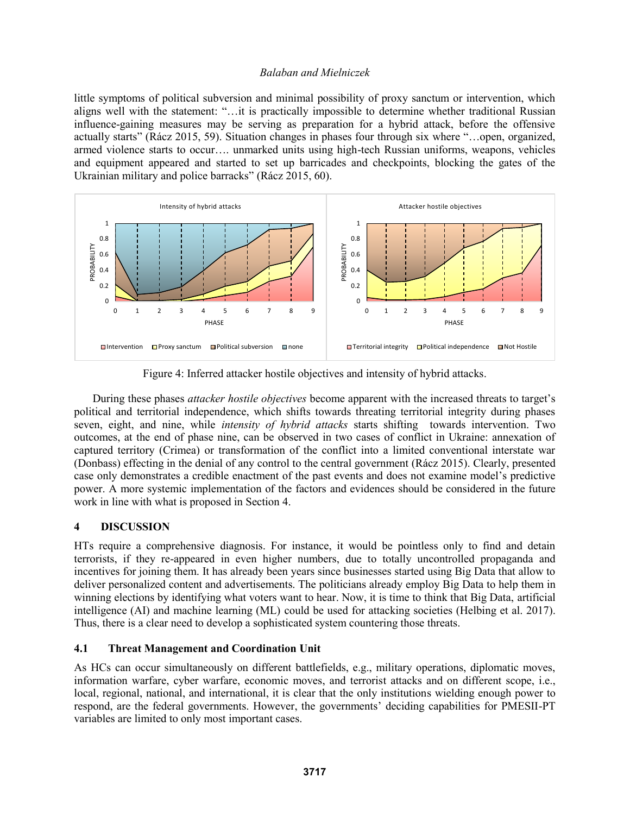little symptoms of political subversion and minimal possibility of proxy sanctum or intervention, which aligns well with the statement: "…it is practically impossible to determine whether traditional Russian influence-gaining measures may be serving as preparation for a hybrid attack, before the offensive actually starts" (Rácz 2015, 59). Situation changes in phases four through six where "…open, organized, armed violence starts to occur…. unmarked units using high-tech Russian uniforms, weapons, vehicles and equipment appeared and started to set up barricades and checkpoints, blocking the gates of the Ukrainian military and police barracks" (Rácz 2015, 60).



Figure 4: Inferred attacker hostile objectives and intensity of hybrid attacks.

During these phases *attacker hostile objectives* become apparent with the increased threats to target's political and territorial independence, which shifts towards threating territorial integrity during phases seven, eight, and nine, while *intensity of hybrid attacks* starts shifting towards intervention. Two outcomes, at the end of phase nine, can be observed in two cases of conflict in Ukraine: annexation of captured territory (Crimea) or transformation of the conflict into a limited conventional interstate war (Donbass) effecting in the denial of any control to the central government (Rácz 2015). Clearly, presented case only demonstrates a credible enactment of the past events and does not examine model's predictive power. A more systemic implementation of the factors and evidences should be considered in the future work in line with what is proposed in Section 4.

## **4 DISCUSSION**

HTs require a comprehensive diagnosis. For instance, it would be pointless only to find and detain terrorists, if they re-appeared in even higher numbers, due to totally uncontrolled propaganda and incentives for joining them. It has already been years since businesses started using Big Data that allow to deliver personalized content and advertisements. The politicians already employ Big Data to help them in winning elections by identifying what voters want to hear. Now, it is time to think that Big Data, artificial intelligence (AI) and machine learning (ML) could be used for attacking societies (Helbing et al. 2017). Thus, there is a clear need to develop a sophisticated system countering those threats.

## **4.1 Threat Management and Coordination Unit**

As HCs can occur simultaneously on different battlefields, e.g., military operations, diplomatic moves, information warfare, cyber warfare, economic moves, and terrorist attacks and on different scope, i.e., local, regional, national, and international, it is clear that the only institutions wielding enough power to respond, are the federal governments. However, the governments' deciding capabilities for PMESII-PT variables are limited to only most important cases.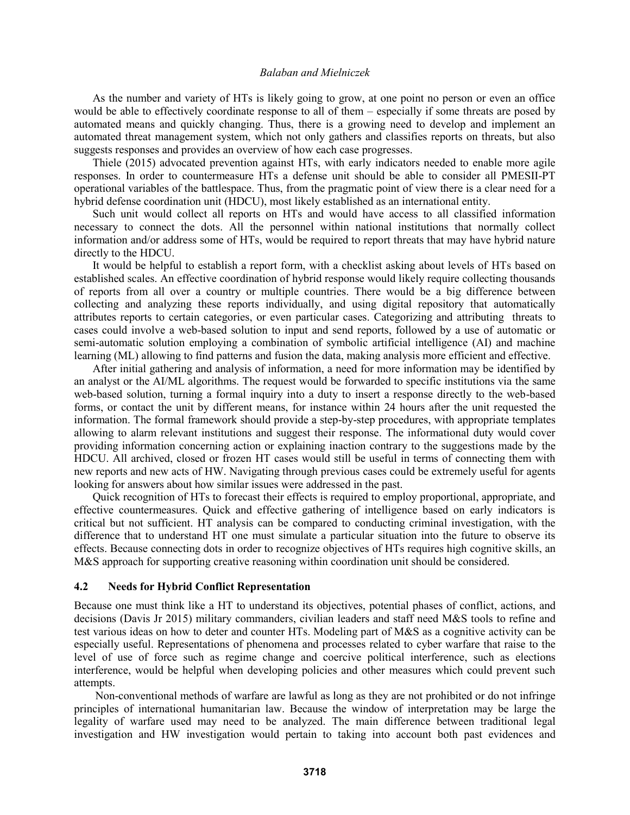As the number and variety of HTs is likely going to grow, at one point no person or even an office would be able to effectively coordinate response to all of them – especially if some threats are posed by automated means and quickly changing. Thus, there is a growing need to develop and implement an automated threat management system, which not only gathers and classifies reports on threats, but also suggests responses and provides an overview of how each case progresses.

Thiele (2015) advocated prevention against HTs, with early indicators needed to enable more agile responses. In order to countermeasure HTs a defense unit should be able to consider all PMESII-PT operational variables of the battlespace. Thus, from the pragmatic point of view there is a clear need for a hybrid defense coordination unit (HDCU), most likely established as an international entity.

Such unit would collect all reports on HTs and would have access to all classified information necessary to connect the dots. All the personnel within national institutions that normally collect information and/or address some of HTs, would be required to report threats that may have hybrid nature directly to the HDCU.

It would be helpful to establish a report form, with a checklist asking about levels of HTs based on established scales. An effective coordination of hybrid response would likely require collecting thousands of reports from all over a country or multiple countries. There would be a big difference between collecting and analyzing these reports individually, and using digital repository that automatically attributes reports to certain categories, or even particular cases. Categorizing and attributing threats to cases could involve a web-based solution to input and send reports, followed by a use of automatic or semi-automatic solution employing a combination of symbolic artificial intelligence (AI) and machine learning (ML) allowing to find patterns and fusion the data, making analysis more efficient and effective.

After initial gathering and analysis of information, a need for more information may be identified by an analyst or the AI/ML algorithms. The request would be forwarded to specific institutions via the same web-based solution, turning a formal inquiry into a duty to insert a response directly to the web-based forms, or contact the unit by different means, for instance within 24 hours after the unit requested the information. The formal framework should provide a step-by-step procedures, with appropriate templates allowing to alarm relevant institutions and suggest their response. The informational duty would cover providing information concerning action or explaining inaction contrary to the suggestions made by the HDCU. All archived, closed or frozen HT cases would still be useful in terms of connecting them with new reports and new acts of HW. Navigating through previous cases could be extremely useful for agents looking for answers about how similar issues were addressed in the past.

Quick recognition of HTs to forecast their effects is required to employ proportional, appropriate, and effective countermeasures. Quick and effective gathering of intelligence based on early indicators is critical but not sufficient. HT analysis can be compared to conducting criminal investigation, with the difference that to understand HT one must simulate a particular situation into the future to observe its effects. Because connecting dots in order to recognize objectives of HTs requires high cognitive skills, an M&S approach for supporting creative reasoning within coordination unit should be considered.

#### **4.2 Needs for Hybrid Conflict Representation**

Because one must think like a HT to understand its objectives, potential phases of conflict, actions, and decisions (Davis Jr 2015) military commanders, civilian leaders and staff need M&S tools to refine and test various ideas on how to deter and counter HTs. Modeling part of M&S as a cognitive activity can be especially useful. Representations of phenomena and processes related to cyber warfare that raise to the level of use of force such as regime change and coercive political interference, such as elections interference, would be helpful when developing policies and other measures which could prevent such attempts.

Non-conventional methods of warfare are lawful as long as they are not prohibited or do not infringe principles of international humanitarian law. Because the window of interpretation may be large the legality of warfare used may need to be analyzed. The main difference between traditional legal investigation and HW investigation would pertain to taking into account both past evidences and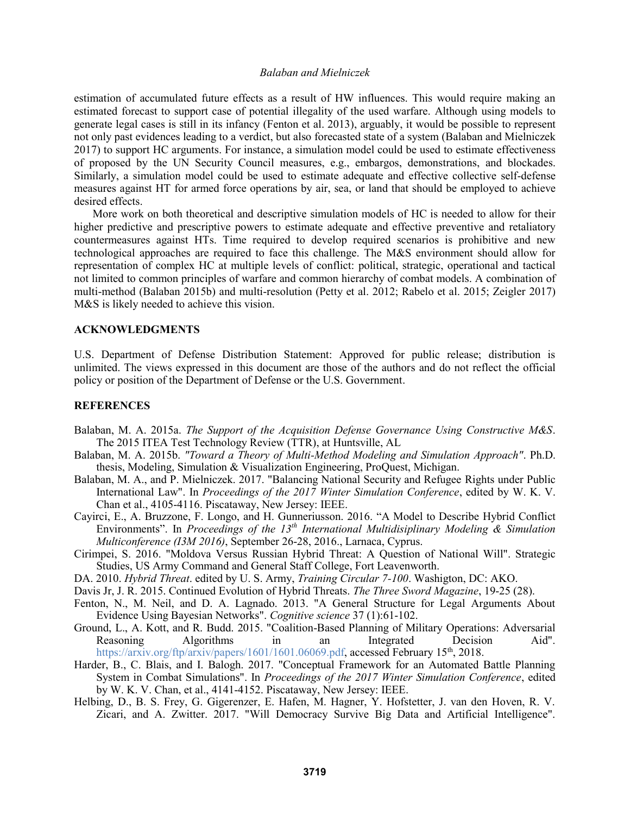estimation of accumulated future effects as a result of HW influences. This would require making an estimated forecast to support case of potential illegality of the used warfare. Although using models to generate legal cases is still in its infancy (Fenton et al. 2013), arguably, it would be possible to represent not only past evidences leading to a verdict, but also forecasted state of a system (Balaban and Mielniczek 2017) to support HC arguments. For instance, a simulation model could be used to estimate effectiveness of proposed by the UN Security Council measures, e.g., embargos, demonstrations, and blockades. Similarly, a simulation model could be used to estimate adequate and effective collective self-defense measures against HT for armed force operations by air, sea, or land that should be employed to achieve desired effects.

More work on both theoretical and descriptive simulation models of HC is needed to allow for their higher predictive and prescriptive powers to estimate adequate and effective preventive and retaliatory countermeasures against HTs. Time required to develop required scenarios is prohibitive and new technological approaches are required to face this challenge. The M&S environment should allow for representation of complex HC at multiple levels of conflict: political, strategic, operational and tactical not limited to common principles of warfare and common hierarchy of combat models. A combination of multi-method (Balaban 2015b) and multi-resolution (Petty et al. 2012; Rabelo et al. 2015; Zeigler 2017) M&S is likely needed to achieve this vision.

### **ACKNOWLEDGMENTS**

U.S. Department of Defense Distribution Statement: Approved for public release; distribution is unlimited. The views expressed in this document are those of the authors and do not reflect the official policy or position of the Department of Defense or the U.S. Government.

#### **REFERENCES**

- Balaban, M. A. 2015a. *The Support of the Acquisition Defense Governance Using Constructive M&S*. The 2015 ITEA Test Technology Review (TTR), at Huntsville, AL
- Balaban, M. A. 2015b. *"Toward a Theory of Multi-Method Modeling and Simulation Approach"*. Ph.D. thesis, Modeling, Simulation & Visualization Engineering, ProQuest, Michigan.
- Balaban, M. A., and P. Mielniczek. 2017. "Balancing National Security and Refugee Rights under Public International Law". In *Proceedings of the 2017 Winter Simulation Conference*, edited by W. K. V. Chan et al., 4105-4116. Piscataway, New Jersey: IEEE.
- Cayirci, E., A. Bruzzone, F. Longo, and H. Gunneriusson. 2016. "A Model to Describe Hybrid Conflict Environments". In *Proceedings of the 13th International Multidisiplinary Modeling & Simulation Multiconference (I3M 2016)*, September 26-28, 2016., Larnaca, Cyprus.
- Cirimpei, S. 2016. "Moldova Versus Russian Hybrid Threat: A Question of National Will". Strategic Studies, US Army Command and General Staff College, Fort Leavenworth.
- DA. 2010. *Hybrid Threat*. edited by U. S. Army, *Training Circular 7-100*. Washigton, DC: AKO.
- Davis Jr, J. R. 2015. Continued Evolution of Hybrid Threats. *The Three Sword Magazine*, 19-25 (28).
- Fenton, N., M. Neil, and D. A. Lagnado. 2013. "A General Structure for Legal Arguments About Evidence Using Bayesian Networks". *Cognitive science* 37 (1):61-102.
- Ground, L., A. Kott, and R. Budd. 2015. "Coalition-Based Planning of Military Operations: Adversarial<br>Reasoning Algorithms in an Integrated Decision Aid". Reasoning Algorithms in an Integrated Decision Aid". https://arxiv.org/ftp/arxiv/papers/1601/1601.06069.pdf, accessed February 15<sup>th</sup>, 2018.
- Harder, B., C. Blais, and I. Balogh. 2017. "Conceptual Framework for an Automated Battle Planning System in Combat Simulations". In *Proceedings of the 2017 Winter Simulation Conference*, edited by W. K. V. Chan, et al., 4141-4152. Piscataway, New Jersey: IEEE.
- Helbing, D., B. S. Frey, G. Gigerenzer, E. Hafen, M. Hagner, Y. Hofstetter, J. van den Hoven, R. V. Zicari, and A. Zwitter. 2017. "Will Democracy Survive Big Data and Artificial Intelligence".